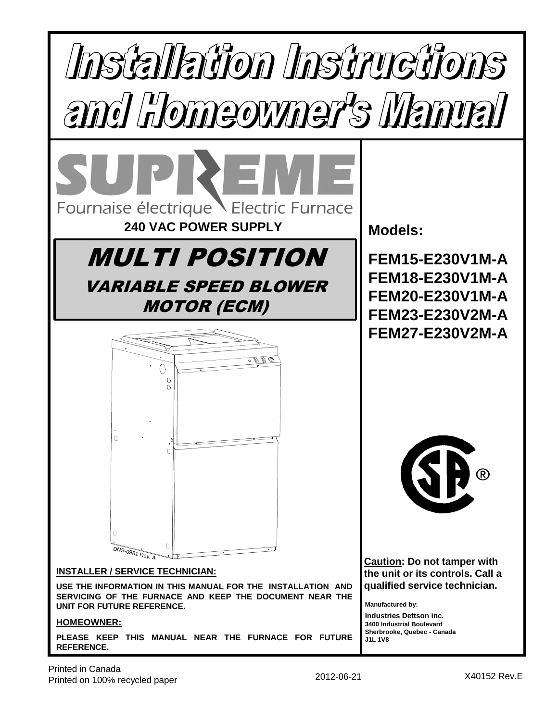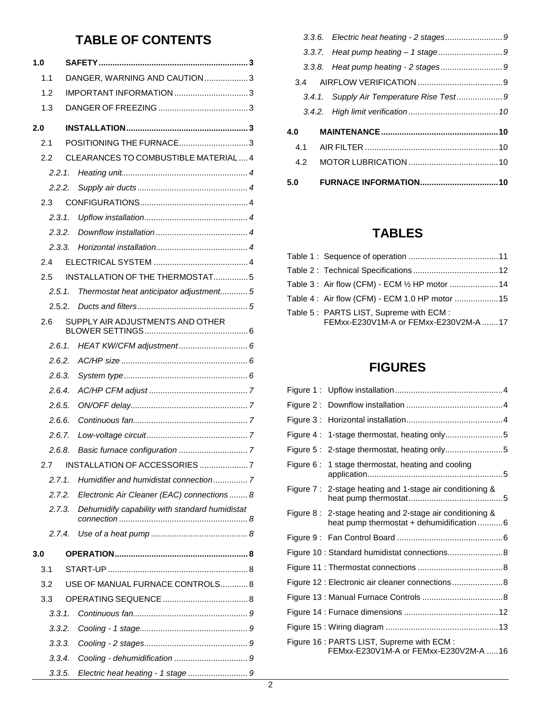# **TABLE OF CONTENTS**

| 1.0 |        |                                                |  |
|-----|--------|------------------------------------------------|--|
|     | 1.1    | DANGER, WARNING AND CAUTION3                   |  |
|     | 1.2    | IMPORTANT INFORMATION 3                        |  |
|     | 1.3    |                                                |  |
| 2.0 |        |                                                |  |
|     | 2.1    | POSITIONING THE FURNACE3                       |  |
|     | 22     | CLEARANCES TO COMBUSTIBLE MATERIAL 4           |  |
|     | 2.2.1. |                                                |  |
|     | 2.2.2. |                                                |  |
|     | 2.3    |                                                |  |
|     | 2.3.1. |                                                |  |
|     | 2.3.2. |                                                |  |
|     | 2.3.3. |                                                |  |
|     | 2.4    |                                                |  |
|     | 2.5    | INSTALLATION OF THE THERMOSTAT5                |  |
|     | 2.5.1. | Thermostat heat anticipator adjustment5        |  |
|     | 2.5.2. |                                                |  |
|     | 2.6    | SUPPLY AIR ADJUSTMENTS AND OTHER               |  |
|     | 2.6.1. |                                                |  |
|     | 2.6.2. |                                                |  |
|     | 2.6.3. |                                                |  |
|     | 2.6.4. |                                                |  |
|     | 2.6.5. |                                                |  |
|     | 2.6.6. |                                                |  |
|     | 2.6.7. |                                                |  |
|     | 2.6.8. |                                                |  |
|     |        | 2.7 INSTALLATION OF ACCESSORIES7               |  |
|     | 2.7.1. |                                                |  |
|     | 2.7.2. | Electronic Air Cleaner (EAC) connections  8    |  |
|     | 2.7.3. | Dehumidify capability with standard humidistat |  |
|     | 2.7.4. |                                                |  |
| 3.0 |        |                                                |  |
|     | 3.1    |                                                |  |
|     | 3.2    | USE OF MANUAL FURNACE CONTROLS8                |  |
|     | 3.3    |                                                |  |
|     | 3.3.1. |                                                |  |
|     | 3.3.2. |                                                |  |
|     | 3.3.3. |                                                |  |
|     | 3.3.4. |                                                |  |
|     | 3.3.5. |                                                |  |

| 4.0 |  |  |
|-----|--|--|
|     |  |  |
| 4.2 |  |  |
| 5.0 |  |  |

## **TABLES**

| Table 4: Air flow (CFM) - ECM 1.0 HP motor 15                                    |
|----------------------------------------------------------------------------------|
| Table 5: PARTS LIST, Supreme with ECM :<br>FEMxx-E230V1M-A or FEMxx-E230V2M-A 17 |

## **FIGURES**

| Figure 2: |                                                                                                       |
|-----------|-------------------------------------------------------------------------------------------------------|
| Figure 3: |                                                                                                       |
| Figure 4: | 1-stage thermostat, heating only5                                                                     |
|           | Figure 5: 2-stage thermostat, heating only5                                                           |
| Figure 6: | 1 stage thermostat, heating and cooling                                                               |
|           | Figure 7: 2-stage heating and 1-stage air conditioning &                                              |
|           | Figure 8: 2-stage heating and 2-stage air conditioning &<br>heat pump thermostat + dehumidification 6 |
|           |                                                                                                       |
|           | Figure 10: Standard humidistat connections 8                                                          |
|           |                                                                                                       |
|           | Figure 12 : Electronic air cleaner connections 8                                                      |
|           |                                                                                                       |
|           |                                                                                                       |
|           |                                                                                                       |
|           | Figure 16 : PARTS LIST, Supreme with ECM :<br>FEMxx-E230V1M-A or FEMxx-E230V2M-A 16                   |
|           |                                                                                                       |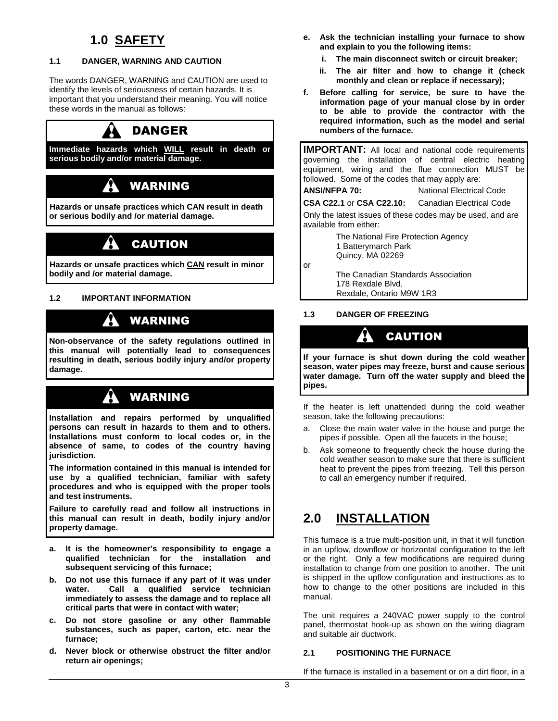# **1.0 SAFETY**

### **1.1 DANGER, WARNING AND CAUTION**

The words DANGER, WARNING and CAUTION are used to identify the levels of seriousness of certain hazards. It is important that you understand their meaning. You will notice these words in the manual as follows:

# DANGER

**Immediate hazards which WILL result in death or serious bodily and/or material damage.** 

# WARNING

**Hazards or unsafe practices which CAN result in death or serious bodily and /or material damage.** 

# CAUTION

**Hazards or unsafe practices which CAN result in minor bodily and /or material damage.** 

### **1.2 IMPORTANT INFORMATION**

# WARNING

**Non-observance of the safety regulations outlined in this manual will potentially lead to consequences resulting in death, serious bodily injury and/or property damage.** 

# WARNING

**Installation and repairs performed by unqualified persons can result in hazards to them and to others. Installations must conform to local codes or, in the absence of same, to codes of the country having jurisdiction.** 

**The information contained in this manual is intended for use by a qualified technician, familiar with safety procedures and who is equipped with the proper tools and test instruments.** 

**Failure to carefully read and follow all instructions in this manual can result in death, bodily injury and/or property damage.** 

- **a. It is the homeowner's responsibility to engage a qualified technician for the installation and subsequent servicing of this furnace;**
- **b. Do not use this furnace if any part of it was under water. Call a qualified service technician immediately to assess the damage and to replace all critical parts that were in contact with water;**
- **c. Do not store gasoline or any other flammable substances, such as paper, carton, etc. near the furnace;**
- **d. Never block or otherwise obstruct the filter and/or return air openings;**
- **e. Ask the technician installing your furnace to show and explain to you the following items:** 
	- **i. The main disconnect switch or circuit breaker;**
	- **ii. The air filter and how to change it (check monthly and clean or replace if necessary);**
- **f. Before calling for service, be sure to have the information page of your manual close by in order to be able to provide the contractor with the required information, such as the model and serial numbers of the furnace.**

**IMPORTANT:** All local and national code requirements governing the installation of central electric heating equipment, wiring and the flue connection MUST be followed. Some of the codes that may apply are:

### **ANSI/NFPA 70:** National Electrical Code

**CSA C22.1** or **CSA C22.10:** Canadian Electrical Code

Only the latest issues of these codes may be used, and are available from either:

> The National Fire Protection Agency 1 Batterymarch Park Quincy, MA 02269

> The Canadian Standards Association 178 Rexdale Blvd. Rexdale, Ontario M9W 1R3

### **1.3 DANGER OF FREEZING**

or

# CAUTION

**If your furnace is shut down during the cold weather season, water pipes may freeze, burst and cause serious water damage. Turn off the water supply and bleed the pipes.** 

If the heater is left unattended during the cold weather season, take the following precautions:

- a. Close the main water valve in the house and purge the pipes if possible. Open all the faucets in the house;
- b. Ask someone to frequently check the house during the cold weather season to make sure that there is sufficient heat to prevent the pipes from freezing. Tell this person to call an emergency number if required.

## **2.0 INSTALLATION**

This furnace is a true multi-position unit, in that it will function in an upflow, downflow or horizontal configuration to the left or the right. Only a few modifications are required during installation to change from one position to another. The unit is shipped in the upflow configuration and instructions as to how to change to the other positions are included in this manual.

The unit requires a 240VAC power supply to the control panel, thermostat hook-up as shown on the wiring diagram and suitable air ductwork.

#### **2.1 POSITIONING THE FURNACE**

If the furnace is installed in a basement or on a dirt floor, in a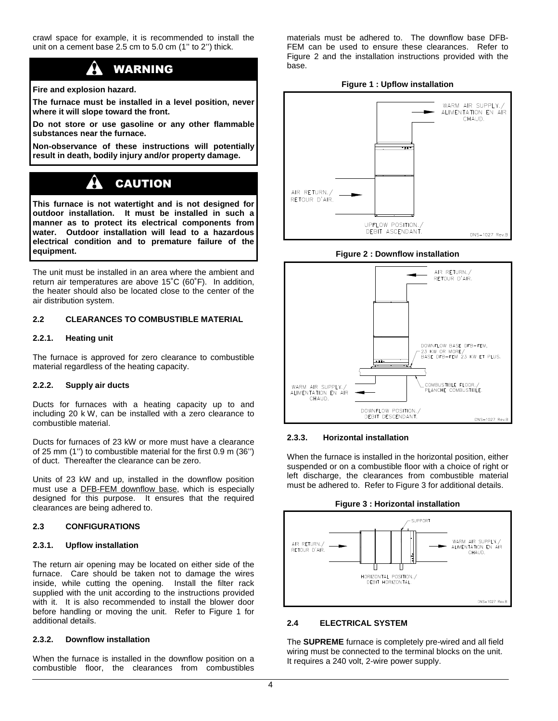crawl space for example, it is recommended to install the unit on a cement base 2.5 cm to 5.0 cm (1" to 2") thick.

## WARNING

**Fire and explosion hazard.** 

**The furnace must be installed in a level position, never where it will slope toward the front.** 

**Do not store or use gasoline or any other flammable substances near the furnace.** 

**Non-observance of these instructions will potentially result in death, bodily injury and/or property damage.** 

#### A CAUTION

**This furnace is not watertight and is not designed for outdoor installation. It must be installed in such a manner as to protect its electrical components from water. Outdoor installation will lead to a hazardous electrical condition and to premature failure of the equipment.** 

The unit must be installed in an area where the ambient and return air temperatures are above 15˚C (60˚F). In addition, the heater should also be located close to the center of the air distribution system.

#### **2.2 CLEARANCES TO COMBUSTIBLE MATERIAL**

#### **2.2.1. Heating unit**

The furnace is approved for zero clearance to combustible material regardless of the heating capacity.

#### **2.2.2. Supply air ducts**

Ducts for furnaces with a heating capacity up to and including 20 k W, can be installed with a zero clearance to combustible material.

Ducts for furnaces of 23 kW or more must have a clearance of 25 mm (1'') to combustible material for the first 0.9 m (36'') of duct. Thereafter the clearance can be zero.

Units of 23 kW and up, installed in the downflow position must use a DFB-FEM downflow base, which is especially designed for this purpose. It ensures that the required clearances are being adhered to.

#### **2.3 CONFIGURATIONS**

#### **2.3.1. Upflow installation**

The return air opening may be located on either side of the furnace. Care should be taken not to damage the wires inside, while cutting the opening. Install the filter rack supplied with the unit according to the instructions provided with it. It is also recommended to install the blower door before handling or moving the unit. Refer to Figure 1 for additional details.

#### **2.3.2. Downflow installation**

When the furnace is installed in the downflow position on a combustible floor, the clearances from combustibles

materials must be adhered to. The downflow base DFB-FEM can be used to ensure these clearances. Refer to Figure 2 and the installation instructions provided with the base.









#### **2.3.3. Horizontal installation**

When the furnace is installed in the horizontal position, either suspended or on a combustible floor with a choice of right or left discharge, the clearances from combustible material must be adhered to. Refer to Figure 3 for additional details.



DNS-1027 Rev.B

#### **2.4 ELECTRICAL SYSTEM**

The **SUPREME** furnace is completely pre-wired and all field wiring must be connected to the terminal blocks on the unit. It requires a 240 volt, 2-wire power supply.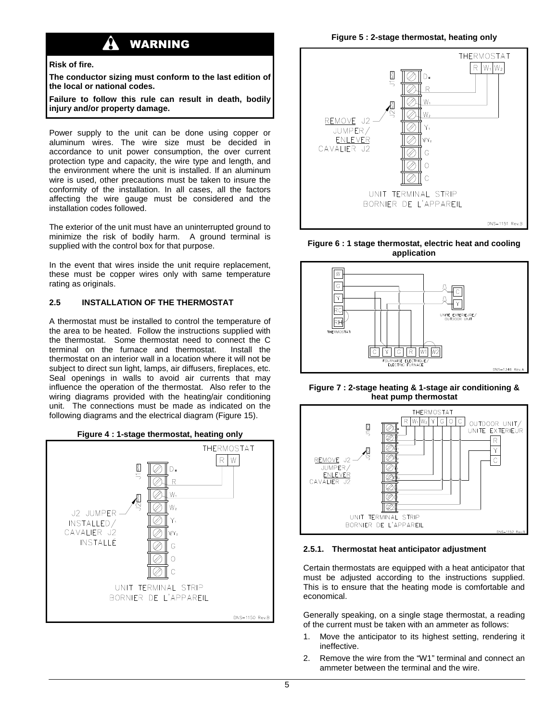## WARNING

#### **Risk of fire.**

**The conductor sizing must conform to the last edition of the local or national codes.** 

**Failure to follow this rule can result in death, bodily injury and/or property damage.** 

Power supply to the unit can be done using copper or aluminum wires. The wire size must be decided in accordance to unit power consumption, the over current protection type and capacity, the wire type and length, and the environment where the unit is installed. If an aluminum wire is used, other precautions must be taken to insure the conformity of the installation. In all cases, all the factors affecting the wire gauge must be considered and the installation codes followed.

The exterior of the unit must have an uninterrupted ground to minimize the risk of bodily harm. A ground terminal is supplied with the control box for that purpose.

In the event that wires inside the unit require replacement, these must be copper wires only with same temperature rating as originals.

#### **2.5 INSTALLATION OF THE THERMOSTAT**

A thermostat must be installed to control the temperature of the area to be heated. Follow the instructions supplied with the thermostat. Some thermostat need to connect the C terminal on the furnace and thermostat. Install the thermostat on an interior wall in a location where it will not be subject to direct sun light, lamps, air diffusers, fireplaces, etc. Seal openings in walls to avoid air currents that may influence the operation of the thermostat. Also refer to the wiring diagrams provided with the heating/air conditioning unit. The connections must be made as indicated on the following diagrams and the electrical diagram (Figure 15).











**Figure 7 : 2-stage heating & 1-stage air conditioning & heat pump thermostat** 



#### **2.5.1. Thermostat heat anticipator adjustment**

Certain thermostats are equipped with a heat anticipator that must be adjusted according to the instructions supplied. This is to ensure that the heating mode is comfortable and economical.

Generally speaking, on a single stage thermostat, a reading of the current must be taken with an ammeter as follows:

- 1. Move the anticipator to its highest setting, rendering it ineffective.
- 2. Remove the wire from the "W1" terminal and connect an ammeter between the terminal and the wire.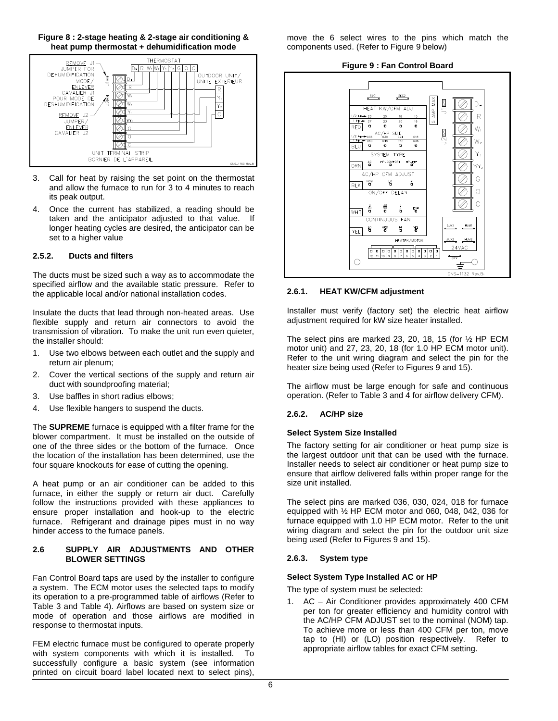#### **Figure 8 : 2-stage heating & 2-stage air conditioning & heat pump thermostat + dehumidification mode**



- 3. Call for heat by raising the set point on the thermostat and allow the furnace to run for 3 to 4 minutes to reach its peak output.
- 4. Once the current has stabilized, a reading should be taken and the anticipator adjusted to that value. If longer heating cycles are desired, the anticipator can be set to a higher value

#### **2.5.2. Ducts and filters**

The ducts must be sized such a way as to accommodate the specified airflow and the available static pressure. Refer to the applicable local and/or national installation codes.

Insulate the ducts that lead through non-heated areas. Use flexible supply and return air connectors to avoid the transmission of vibration. To make the unit run even quieter, the installer should:

- 1. Use two elbows between each outlet and the supply and return air plenum;
- 2. Cover the vertical sections of the supply and return air duct with soundproofing material;
- 3. Use baffles in short radius elbows;
- 4. Use flexible hangers to suspend the ducts.

The **SUPREME** furnace is equipped with a filter frame for the blower compartment. It must be installed on the outside of one of the three sides or the bottom of the furnace. Once the location of the installation has been determined, use the four square knockouts for ease of cutting the opening.

A heat pump or an air conditioner can be added to this furnace, in either the supply or return air duct. Carefully follow the instructions provided with these appliances to ensure proper installation and hook-up to the electric furnace. Refrigerant and drainage pipes must in no way hinder access to the furnace panels.

#### **2.6 SUPPLY AIR ADJUSTMENTS AND OTHER BLOWER SETTINGS**

Fan Control Board taps are used by the installer to configure a system. The ECM motor uses the selected taps to modify its operation to a pre-programmed table of airflows (Refer to Table 3 and Table 4). Airflows are based on system size or mode of operation and those airflows are modified in response to thermostat inputs.

FEM electric furnace must be configured to operate properly with system components with which it is installed. To successfully configure a basic system (see information printed on circuit board label located next to select pins),

move the 6 select wires to the pins which match the components used. (Refer to Figure 9 below)

**Figure 9 : Fan Control Board** 



#### **2.6.1. HEAT KW/CFM adjustment**

Installer must verify (factory set) the electric heat airflow adjustment required for kW size heater installed.

The select pins are marked 23, 20, 18, 15 (for  $\frac{1}{2}$  HP ECM motor unit) and 27, 23, 20, 18 (for 1.0 HP ECM motor unit). Refer to the unit wiring diagram and select the pin for the heater size being used (Refer to Figures 9 and 15).

The airflow must be large enough for safe and continuous operation. (Refer to Table 3 and 4 for airflow delivery CFM).

### **2.6.2. AC/HP size**

#### **Select System Size Installed**

The factory setting for air conditioner or heat pump size is the largest outdoor unit that can be used with the furnace. Installer needs to select air conditioner or heat pump size to ensure that airflow delivered falls within proper range for the size unit installed.

The select pins are marked 036, 030, 024, 018 for furnace equipped with ½ HP ECM motor and 060, 048, 042, 036 for furnace equipped with 1.0 HP ECM motor. Refer to the unit wiring diagram and select the pin for the outdoor unit size being used (Refer to Figures 9 and 15).

#### **2.6.3. System type**

#### **Select System Type Installed AC or HP**

The type of system must be selected:

1. AC – Air Conditioner provides approximately 400 CFM per ton for greater efficiency and humidity control with the AC/HP CFM ADJUST set to the nominal (NOM) tap. To achieve more or less than 400 CFM per ton, move tap to (HI) or (LO) position respectively. Refer to appropriate airflow tables for exact CFM setting.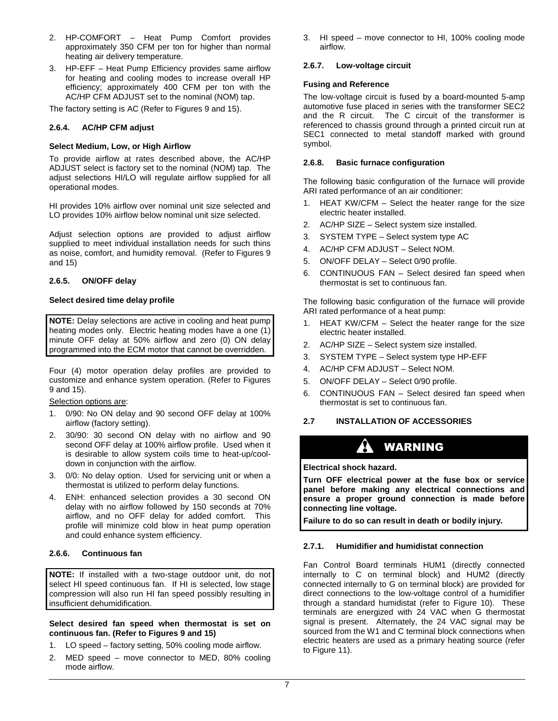- 2. HP-COMFORT Heat Pump Comfort provides approximately 350 CFM per ton for higher than normal heating air delivery temperature.
- 3. HP-EFF Heat Pump Efficiency provides same airflow for heating and cooling modes to increase overall HP efficiency; approximately 400 CFM per ton with the AC/HP CFM ADJUST set to the nominal (NOM) tap.

The factory setting is AC (Refer to Figures 9 and 15).

#### **2.6.4. AC/HP CFM adjust**

#### **Select Medium, Low, or High Airflow**

To provide airflow at rates described above, the AC/HP ADJUST select is factory set to the nominal (NOM) tap. The adjust selections HI/LO will regulate airflow supplied for all operational modes.

HI provides 10% airflow over nominal unit size selected and LO provides 10% airflow below nominal unit size selected.

Adjust selection options are provided to adjust airflow supplied to meet individual installation needs for such thins as noise, comfort, and humidity removal. (Refer to Figures 9 and 15)

#### **2.6.5. ON/OFF delay**

#### **Select desired time delay profile**

**NOTE:** Delay selections are active in cooling and heat pump heating modes only. Electric heating modes have a one (1) minute OFF delay at 50% airflow and zero (0) ON delay programmed into the ECM motor that cannot be overridden.

Four (4) motor operation delay profiles are provided to customize and enhance system operation. (Refer to Figures 9 and 15).

Selection options are:

- 1. 0/90: No ON delay and 90 second OFF delay at 100% airflow (factory setting).
- 2. 30/90: 30 second ON delay with no airflow and 90 second OFF delay at 100% airflow profile. Used when it is desirable to allow system coils time to heat-up/cooldown in conjunction with the airflow.
- 3. 0/0: No delay option. Used for servicing unit or when a thermostat is utilized to perform delay functions.
- 4. ENH: enhanced selection provides a 30 second ON delay with no airflow followed by 150 seconds at 70% airflow, and no OFF delay for added comfort. This profile will minimize cold blow in heat pump operation and could enhance system efficiency.

#### **2.6.6. Continuous fan**

**NOTE:** If installed with a two-stage outdoor unit, do not select HI speed continuous fan. If HI is selected, low stage compression will also run HI fan speed possibly resulting in insufficient dehumidification.

#### **Select desired fan speed when thermostat is set on continuous fan. (Refer to Figures 9 and 15)**

- 1. LO speed factory setting, 50% cooling mode airflow.
- 2. MED speed move connector to MED, 80% cooling mode airflow.

3. HI speed – move connector to HI, 100% cooling mode airflow.

#### **2.6.7. Low-voltage circuit**

#### **Fusing and Reference**

The low-voltage circuit is fused by a board-mounted 5-amp automotive fuse placed in series with the transformer SEC2 and the R circuit. The C circuit of the transformer is referenced to chassis ground through a printed circuit run at SEC1 connected to metal standoff marked with ground symbol.

#### **2.6.8. Basic furnace configuration**

The following basic configuration of the furnace will provide ARI rated performance of an air conditioner:

- 1. HEAT KW/CFM Select the heater range for the size electric heater installed.
- 2. AC/HP SIZE Select system size installed.
- 3. SYSTEM TYPE Select system type AC
- 4. AC/HP CFM ADJUST Select NOM.
- 5. ON/OFF DELAY Select 0/90 profile.
- 6. CONTINUOUS FAN Select desired fan speed when thermostat is set to continuous fan.

The following basic configuration of the furnace will provide ARI rated performance of a heat pump:

- 1. HEAT KW/CFM Select the heater range for the size electric heater installed.
- 2. AC/HP SIZE Select system size installed.
- 3. SYSTEM TYPE Select system type HP-EFF
- 4. AC/HP CFM ADJUST Select NOM.
- 5. ON/OFF DELAY Select 0/90 profile.
- 6. CONTINUOUS FAN Select desired fan speed when thermostat is set to continuous fan.

#### **2.7 INSTALLATION OF ACCESSORIES**

# WARNING

#### **Electrical shock hazard.**

**Turn OFF electrical power at the fuse box or service panel before making any electrical connections and ensure a proper ground connection is made before connecting line voltage.** 

**Failure to do so can result in death or bodily injury.** 

#### **2.7.1. Humidifier and humidistat connection**

Fan Control Board terminals HUM1 (directly connected internally to C on terminal block) and HUM2 (directly connected internally to G on terminal block) are provided for direct connections to the low-voltage control of a humidifier through a standard humidistat (refer to Figure 10). These terminals are energized with 24 VAC when G thermostat signal is present. Alternately, the 24 VAC signal may be sourced from the W1 and C terminal block connections when electric heaters are used as a primary heating source (refer to Figure 11).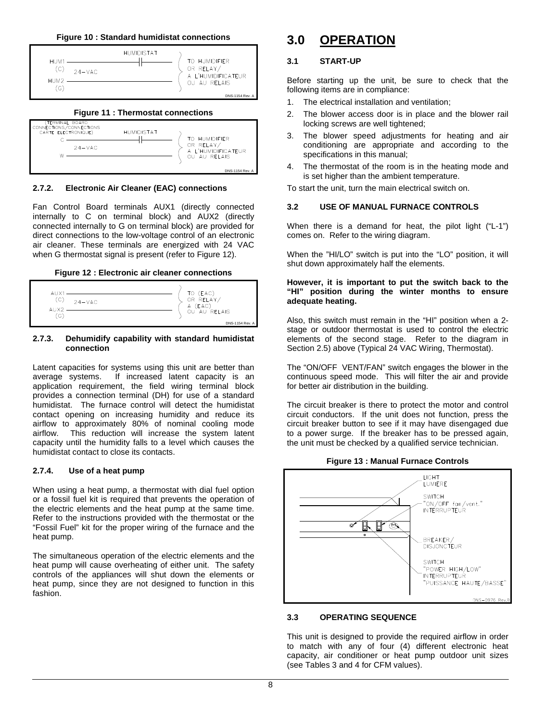**Figure 10 : Standard humidistat connections** 





**2.7.2. Electronic Air Cleaner (EAC) connections** 

Fan Control Board terminals AUX1 (directly connected internally to C on terminal block) and AUX2 (directly connected internally to G on terminal block) are provided for direct connections to the low-voltage control of an electronic air cleaner. These terminals are energized with 24 VAC when G thermostat signal is present (refer to Figure 12).





#### **2.7.3. Dehumidify capability with standard humidistat connection**

Latent capacities for systems using this unit are better than average systems. If increased latent capacity is an application requirement, the field wiring terminal block provides a connection terminal (DH) for use of a standard humidistat. The furnace control will detect the humidistat contact opening on increasing humidity and reduce its airflow to approximately 80% of nominal cooling mode airflow. This reduction will increase the system latent capacity until the humidity falls to a level which causes the humidistat contact to close its contacts.

#### **2.7.4. Use of a heat pump**

When using a heat pump, a thermostat with dial fuel option or a fossil fuel kit is required that prevents the operation of the electric elements and the heat pump at the same time. Refer to the instructions provided with the thermostat or the "Fossil Fuel" kit for the proper wiring of the furnace and the heat pump.

The simultaneous operation of the electric elements and the heat pump will cause overheating of either unit. The safety controls of the appliances will shut down the elements or heat pump, since they are not designed to function in this fashion.

## **3.0 OPERATION**

### **3.1 START-UP**

Before starting up the unit, be sure to check that the following items are in compliance:

- 1. The electrical installation and ventilation;
- 2. The blower access door is in place and the blower rail locking screws are well tightened;
- 3. The blower speed adjustments for heating and air conditioning are appropriate and according to the specifications in this manual;
- 4. The thermostat of the room is in the heating mode and is set higher than the ambient temperature.

To start the unit, turn the main electrical switch on.

### **3.2 USE OF MANUAL FURNACE CONTROLS**

When there is a demand for heat, the pilot light ("L-1") comes on. Refer to the wiring diagram.

When the "HI/LO" switch is put into the "LO" position, it will shut down approximately half the elements.

#### **However, it is important to put the switch back to the "HI" position during the winter months to ensure adequate heating.**

Also, this switch must remain in the "HI" position when a 2 stage or outdoor thermostat is used to control the electric elements of the second stage. Refer to the diagram in Section 2.5) above (Typical 24 VAC Wiring, Thermostat).

The "ON/OFF VENT/FAN" switch engages the blower in the continuous speed mode. This will filter the air and provide for better air distribution in the building.

The circuit breaker is there to protect the motor and control circuit conductors. If the unit does not function, press the circuit breaker button to see if it may have disengaged due to a power surge. If the breaker has to be pressed again, the unit must be checked by a qualified service technician.





#### **3.3 OPERATING SEQUENCE**

This unit is designed to provide the required airflow in order to match with any of four (4) different electronic heat capacity, air conditioner or heat pump outdoor unit sizes (see Tables 3 and 4 for CFM values).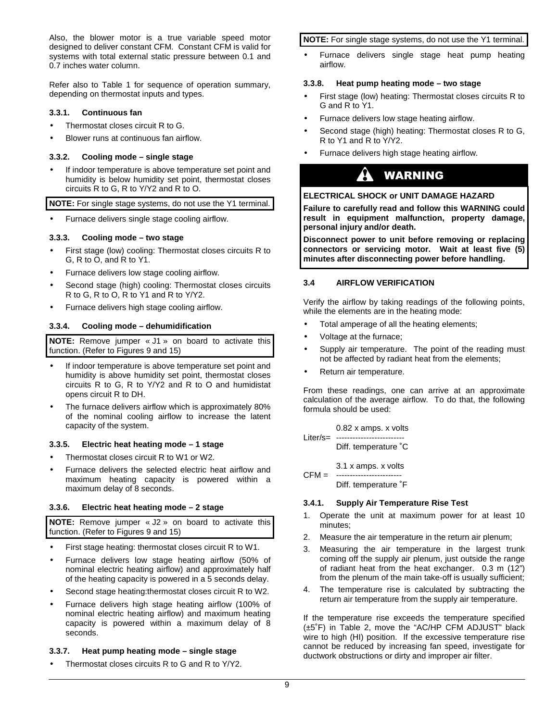Also, the blower motor is a true variable speed motor designed to deliver constant CFM. Constant CFM is valid for systems with total external static pressure between 0.1 and 0.7 inches water column.

Refer also to Table 1 for sequence of operation summary, depending on thermostat inputs and types.

#### **3.3.1. Continuous fan**

- Thermostat closes circuit R to G.
- Blower runs at continuous fan airflow.

#### **3.3.2. Cooling mode – single stage**

If indoor temperature is above temperature set point and humidity is below humidity set point, thermostat closes circuits R to G, R to Y/Y2 and R to O.

**NOTE:** For single stage systems, do not use the Y1 terminal.

• Furnace delivers single stage cooling airflow.

#### **3.3.3. Cooling mode – two stage**

- First stage (low) cooling: Thermostat closes circuits R to G, R to O, and R to Y1.
- Furnace delivers low stage cooling airflow.
- Second stage (high) cooling: Thermostat closes circuits R to G, R to O, R to Y1 and R to Y/Y2.
- Furnace delivers high stage cooling airflow.

#### **3.3.4. Cooling mode – dehumidification**

**NOTE:** Remove jumper « J1 » on board to activate this function. (Refer to Figures 9 and 15)

- If indoor temperature is above temperature set point and humidity is above humidity set point, thermostat closes circuits R to G, R to Y/Y2 and R to O and humidistat opens circuit R to DH.
- The furnace delivers airflow which is approximately 80% of the nominal cooling airflow to increase the latent capacity of the system.

#### **3.3.5. Electric heat heating mode – 1 stage**

- Thermostat closes circuit R to W1 or W2.
- Furnace delivers the selected electric heat airflow and maximum heating capacity is powered within a maximum delay of 8 seconds.

#### **3.3.6. Electric heat heating mode – 2 stage**

**NOTE:** Remove jumper « J2 » on board to activate this function. (Refer to Figures 9 and 15)

- First stage heating: thermostat closes circuit R to W1.
- Furnace delivers low stage heating airflow (50% of nominal electric heating airflow) and approximately half of the heating capacity is powered in a 5 seconds delay.
- Second stage heating: thermostat closes circuit R to W2.
- Furnace delivers high stage heating airflow (100% of nominal electric heating airflow) and maximum heating capacity is powered within a maximum delay of 8 seconds.

#### **3.3.7. Heat pump heating mode – single stage**

Thermostat closes circuits R to G and R to Y/Y2.

#### **NOTE:** For single stage systems, do not use the Y1 terminal.

Furnace delivers single stage heat pump heating airflow.

#### **3.3.8. Heat pump heating mode – two stage**

- First stage (low) heating: Thermostat closes circuits R to G and R to Y1.
- Furnace delivers low stage heating airflow.
- Second stage (high) heating: Thermostat closes R to G, R to Y1 and R to Y/Y2.
- Furnace delivers high stage heating airflow.

## WARNING

### **ELECTRICAL SHOCK or UNIT DAMAGE HAZARD**

**Failure to carefully read and follow this WARNING could result in equipment malfunction, property damage, personal injury and/or death.** 

**Disconnect power to unit before removing or replacing connectors or servicing motor. Wait at least five (5) minutes after disconnecting power before handling.** 

#### **3.4 AIRFLOW VERIFICATION**

Verify the airflow by taking readings of the following points, while the elements are in the heating mode:

- Total amperage of all the heating elements;
- Voltage at the furnace;
- Supply air temperature. The point of the reading must not be affected by radiant heat from the elements;
- Return air temperature.

From these readings, one can arrive at an approximate calculation of the average airflow. To do that, the following formula should be used:

 0.82 x amps. x volts Liter/s= -------------------------Diff. temperature ˚C

 3.1 x amps. x volts CFM = ------------------------

Diff. temperature ˚F

#### **3.4.1. Supply Air Temperature Rise Test**

- 1. Operate the unit at maximum power for at least 10 minutes;
- 2. Measure the air temperature in the return air plenum;
- 3. Measuring the air temperature in the largest trunk coming off the supply air plenum, just outside the range of radiant heat from the heat exchanger. 0.3 m (12") from the plenum of the main take-off is usually sufficient;
- 4. The temperature rise is calculated by subtracting the return air temperature from the supply air temperature.

If the temperature rise exceeds the temperature specified (±5˚F) in Table 2, move the "AC/HP CFM ADJUST" black wire to high (HI) position. If the excessive temperature rise cannot be reduced by increasing fan speed, investigate for ductwork obstructions or dirty and improper air filter.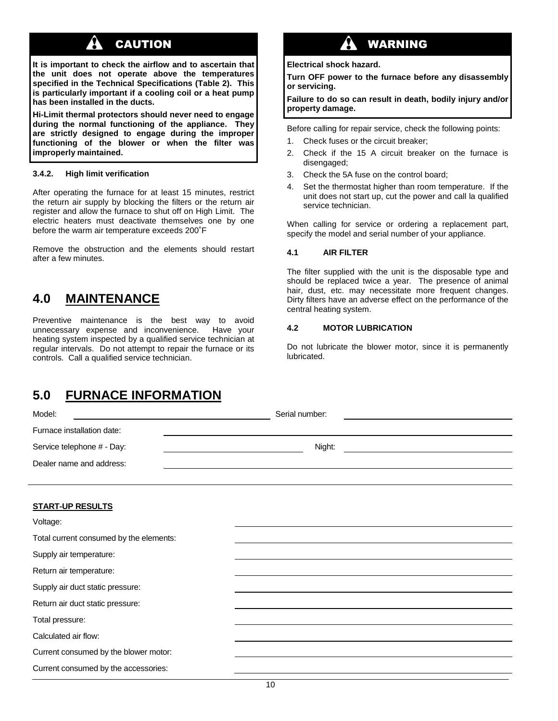#### A CAUTION

**It is important to check the airflow and to ascertain that the unit does not operate above the temperatures specified in the Technical Specifications (Table 2). This is particularly important if a cooling coil or a heat pump has been installed in the ducts.** 

**Hi-Limit thermal protectors should never need to engage during the normal functioning of the appliance. They are strictly designed to engage during the improper functioning of the blower or when the filter was improperly maintained.** 

#### **3.4.2. High limit verification**

After operating the furnace for at least 15 minutes, restrict the return air supply by blocking the filters or the return air register and allow the furnace to shut off on High Limit. The electric heaters must deactivate themselves one by one before the warm air temperature exceeds 200˚F

Remove the obstruction and the elements should restart after a few minutes.

## **4.0 MAINTENANCE**

Preventive maintenance is the best way to avoid unnecessary expense and inconvenience. Have your heating system inspected by a qualified service technician at regular intervals. Do not attempt to repair the furnace or its controls. Call a qualified service technician.

## **5.0 FURNACE INFORMATION**

# WARNING

#### **Electrical shock hazard.**

**Turn OFF power to the furnace before any disassembly or servicing.** 

**Failure to do so can result in death, bodily injury and/or property damage.** 

Before calling for repair service, check the following points:

- 1. Check fuses or the circuit breaker;
- 2. Check if the 15 A circuit breaker on the furnace is disengaged;
- 3. Check the 5A fuse on the control board;
- 4. Set the thermostat higher than room temperature. If the unit does not start up, cut the power and call la qualified service technician.

When calling for service or ordering a replacement part, specify the model and serial number of your appliance.

#### **4.1 AIR FILTER**

The filter supplied with the unit is the disposable type and should be replaced twice a year. The presence of animal hair, dust, etc. may necessitate more frequent changes. Dirty filters have an adverse effect on the performance of the central heating system.

#### **4.2 MOTOR LUBRICATION**

Do not lubricate the blower motor, since it is permanently lubricated.

| Model:                                  | Serial number: |
|-----------------------------------------|----------------|
| Furnace installation date:              |                |
| Service telephone # - Day:              | Night:         |
| Dealer name and address:                |                |
|                                         |                |
|                                         |                |
| <b>START-UP RESULTS</b>                 |                |
| Voltage:                                |                |
| Total current consumed by the elements: |                |
| Supply air temperature:                 |                |
| Return air temperature:                 |                |
| Supply air duct static pressure:        |                |
| Return air duct static pressure:        |                |
| Total pressure:                         |                |
| Calculated air flow:                    |                |
| Current consumed by the blower motor:   |                |
| Current consumed by the accessories:    |                |
|                                         | $\sqrt{2}$     |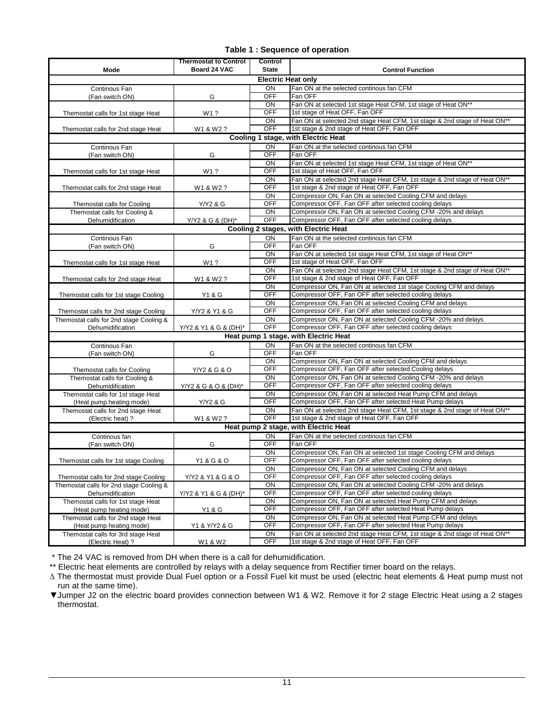### **Table 1 : Sequence of operation**

|                                                                 | <b>Thermostat to Control</b> | <b>Control</b>            |                                                                           |  |  |  |  |
|-----------------------------------------------------------------|------------------------------|---------------------------|---------------------------------------------------------------------------|--|--|--|--|
| Mode                                                            | Board 24 VAC                 | <b>State</b>              | <b>Control Function</b>                                                   |  |  |  |  |
|                                                                 |                              | <b>Electric Heat only</b> |                                                                           |  |  |  |  |
| Fan ON at the selected continous fan CFM<br>ON<br>Continous Fan |                              |                           |                                                                           |  |  |  |  |
| (Fan switch ON)                                                 | G                            | <b>OFF</b>                | Fan OFF                                                                   |  |  |  |  |
|                                                                 |                              | ON                        | Fan ON at selected 1st stage Heat CFM, 1st stage of Heat ON**             |  |  |  |  |
| Themostat calls for 1st stage Heat                              | W1?                          | OFF                       | 1st stage of Heat OFF, Fan OFF                                            |  |  |  |  |
|                                                                 |                              | <b>ON</b>                 | Fan ON at selected 2nd stage Heat CFM, 1st stage & 2nd stage of Heat ON** |  |  |  |  |
| Themostat calls for 2nd stage Heat                              | W1 & W2 ?                    | OFF                       | 1st stage & 2nd stage of Heat OFF, Fan OFF                                |  |  |  |  |
|                                                                 |                              |                           | Cooling 1 stage, with Electric Heat                                       |  |  |  |  |
| Continous Fan                                                   |                              | ON                        | Fan ON at the selected continous fan CFM                                  |  |  |  |  |
| (Fan switch ON)                                                 | G                            | OFF                       | Fan OFF                                                                   |  |  |  |  |
|                                                                 |                              | ON                        | Fan ON at selected 1st stage Heat CFM, 1st stage of Heat ON**             |  |  |  |  |
| Themostat calls for 1st stage Heat                              | W1?                          | OFF                       | 1st stage of Heat OFF, Fan OFF                                            |  |  |  |  |
|                                                                 |                              | ON                        | Fan ON at selected 2nd stage Heat CFM, 1st stage & 2nd stage of Heat ON** |  |  |  |  |
| Themostat calls for 2nd stage Heat                              | W1 & W2 ?                    | OFF                       | 1st stage & 2nd stage of Heat OFF, Fan OFF                                |  |  |  |  |
|                                                                 |                              | ON                        | Compressor ON, Fan ON at selected Cooling CFM and delays                  |  |  |  |  |
| Themostat calls for Cooling                                     | Y/Y2 & G                     | OFF                       | Compressor OFF, Fan OFF after selected cooling delays                     |  |  |  |  |
| Themostat calls for Cooling &                                   |                              | ON                        | Compressor ON, Fan ON at selected Cooling CFM -20% and delays             |  |  |  |  |
| Dehumidification                                                | Y/Y2 & G & (DH)*             | <b>OFF</b>                | Compressor OFF, Fan OFF after selected cooling delays                     |  |  |  |  |
|                                                                 |                              |                           | Cooling 2 stages, with Electric Heat                                      |  |  |  |  |
| Continous Fan                                                   |                              | ON                        | Fan ON at the selected continous fan CFM                                  |  |  |  |  |
| (Fan switch ON)                                                 | G                            | OFF                       | Fan OFF                                                                   |  |  |  |  |
|                                                                 |                              | ON                        | Fan ON at selected 1st stage Heat CFM, 1st stage of Heat ON**             |  |  |  |  |
| Themostat calls for 1st stage Heat                              | W1?                          | OFF                       | 1st stage of Heat OFF, Fan OFF                                            |  |  |  |  |
|                                                                 |                              | ON                        | Fan ON at selected 2nd stage Heat CFM, 1st stage & 2nd stage of Heat ON** |  |  |  |  |
| Themostat calls for 2nd stage Heat                              | W1 & W2 ?                    | OFF                       | 1st stage & 2nd stage of Heat OFF, Fan OFF                                |  |  |  |  |
|                                                                 |                              | ON                        | Compressor ON, Fan ON at selected 1st stage Cooling CFM and delays        |  |  |  |  |
| Themostat calls for 1st stage Cooling                           | Y1 & G                       | OFF                       | Compressor OFF, Fan OFF after selected cooling delays                     |  |  |  |  |
|                                                                 |                              | ON                        | Compressor ON, Fan ON at selected Cooling CFM and delays                  |  |  |  |  |
| Themostat calls for 2nd stage Cooling                           | Y/Y2 & Y1 & G                | OFF                       | Compressor OFF, Fan OFF after selected cooling delays                     |  |  |  |  |
| Themostat calls for 2nd stage Cooling &                         |                              | ON                        | Compressor ON, Fan ON at selected Cooling CFM -20% and delays             |  |  |  |  |
| Dehumidification                                                | Y/Y2 & Y1 & G & (DH)*        | OFF                       | Compressor OFF, Fan OFF after selected cooling delays                     |  |  |  |  |
|                                                                 |                              |                           | Heat pump 1 stage, with Electric Heat                                     |  |  |  |  |
| Continous Fan                                                   |                              | ON                        | Fan ON at the selected continous fan CFM                                  |  |  |  |  |
| (Fan switch ON)                                                 | G                            | OFF                       | Fan OFF                                                                   |  |  |  |  |
|                                                                 |                              | ON                        | Compressor ON, Fan ON at selected Cooling CFM and delays                  |  |  |  |  |
| Themostat calls for Cooling                                     | Y/Y2 & G & O                 | OFF                       | Compressor OFF, Fan OFF after selected Cooling delays                     |  |  |  |  |
| Themostat calls for Cooling &                                   |                              | ON                        | Compressor ON, Fan ON at selected Cooling CFM -20% and delays             |  |  |  |  |
| Dehumidification                                                | $Y/Y2$ & G & O & (DH)*       | OFF                       | Compressor OFF, Fan OFF after selected cooling delays                     |  |  |  |  |
| Themostat calls for 1st stage Heat                              |                              | ON                        | Compressor ON, Fan ON at selected Heat Pump CFM and delays                |  |  |  |  |
| (Heat pump heating mode)                                        | Y/Y2 & G                     | OFF                       | Compressor OFF, Fan OFF after selected Heat Pump delays                   |  |  |  |  |
| Themostat calls for 2nd stage Heat                              |                              | ON                        | Fan ON at selected 2nd stage Heat CFM, 1st stage & 2nd stage of Heat ON** |  |  |  |  |
| (Electric heat) ?                                               | W1 & W2 ?                    | <b>OFF</b>                | 1st stage & 2nd stage of Heat OFF, Fan OFF                                |  |  |  |  |
|                                                                 |                              |                           | Heat pump 2 stage, with Electric Heat                                     |  |  |  |  |
| Continous fan                                                   |                              | ON                        | Fan ON at the selected continous fan CFM                                  |  |  |  |  |
| (Fan switch ON)                                                 | G                            | OFF                       | Fan OFF                                                                   |  |  |  |  |
|                                                                 |                              | ON                        | Compressor ON, Fan ON at selected 1st stage Cooling CFM and delays        |  |  |  |  |
| Themostat calls for 1st stage Cooling                           | Y1 & G & O                   | OFF                       | Compressor OFF, Fan OFF after selected cooling delays                     |  |  |  |  |
|                                                                 |                              | ON                        | Compressor ON, Fan ON at selected Cooling CFM and delays                  |  |  |  |  |
| Themostat calls for 2nd stage Cooling                           | Y/Y2 & Y1 & G & O            | <b>OFF</b>                | Compressor OFF, Fan OFF after selected cooling delays                     |  |  |  |  |
| Themostat calls for 2nd stage Cooling &                         |                              | ON                        | Compressor ON, Fan ON at selected Cooling CFM -20% and delays             |  |  |  |  |
| Dehumidification                                                | Y/Y2 & Y1 & G & (DH)*        | OFF                       | Compressor OFF, Fan OFF after selected cooling delays                     |  |  |  |  |
| Themostat calls for 1st stage Heat                              |                              | ON                        | Compressor ON, Fan ON at selected Heat Pump CFM and delays                |  |  |  |  |
| (Heat pump heating mode)                                        | Y1 & G                       | <b>OFF</b>                | Compressor OFF, Fan OFF after selected Heat Pump delays                   |  |  |  |  |
| Themostat calls for 2nd stage Heat                              |                              | ON                        | Compressor ON, Fan ON at selected Heat Pump CFM and delays                |  |  |  |  |
| (Heat pump heating mode)                                        | Y1 & Y/Y2 & G                | OFF                       | Compressor OFF, Fan OFF after selected Heat Pump delays                   |  |  |  |  |
| Themostat calls for 3rd stage Heat                              |                              | ON                        | Fan ON at selected 2nd stage Heat CFM, 1st stage & 2nd stage of Heat ON** |  |  |  |  |
| (Electric Heat) ?                                               | W1 & W2                      | <b>OFF</b>                | 1st stage & 2nd stage of Heat OFF, Fan OFF                                |  |  |  |  |

\* The 24 VAC is removed from DH when there is a call for dehumidification.

\*\* Electric heat elements are controlled by relays with a delay sequence from Rectifier timer board on the relays.

∆ The thermostat must provide Dual Fuel option or a Fossil Fuel kit must be used (electric heat elements & Heat pump must not run at the same time).

▼Jumper J2 on the electric board provides connection between W1 & W2. Remove it for 2 stage Electric Heat using a 2 stages thermostat.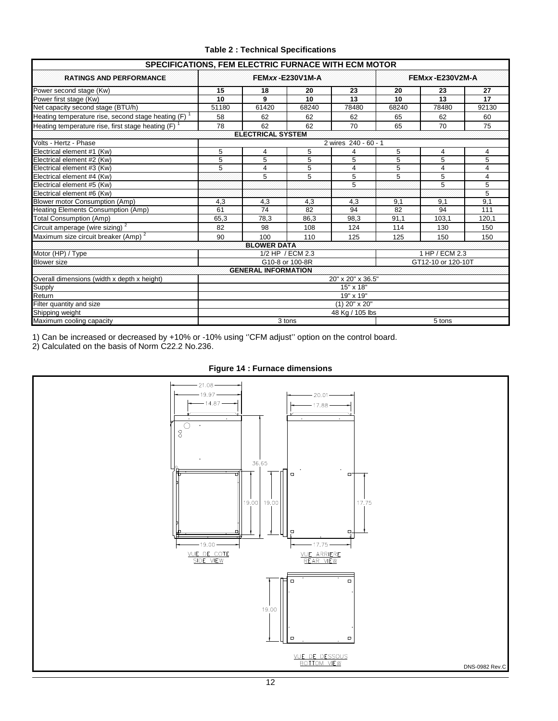| Table 2. Technologi Opechications                                    |       |       |       |       |       |       |  |  |  |
|----------------------------------------------------------------------|-------|-------|-------|-------|-------|-------|--|--|--|
| <b>SPECIFICATIONS. FEM ELECTRIC FURNACE WITH ECM MOTOR</b>           |       |       |       |       |       |       |  |  |  |
| FEMxx-E230V1M-A<br>FEMxx-E230V2M-A<br><b>RATINGS AND PERFORMANCE</b> |       |       |       |       |       |       |  |  |  |
| cond stage (Kw)                                                      | 15    |       |       |       |       |       |  |  |  |
| t stage (Kw)                                                         | 10    |       | 10    |       | 10    |       |  |  |  |
| itv second stage (RTH/h)                                             | 51180 | 61420 | 68240 | 78480 | 68240 | 78480 |  |  |  |

### **Table 2 : Technical Specifications**

| Power second stage (Kw)                                | 15                | 18                         | 20    | 23                   | 20             | 23             | 27    |  |
|--------------------------------------------------------|-------------------|----------------------------|-------|----------------------|----------------|----------------|-------|--|
| Power first stage (Kw)                                 | 10                | 9                          | 10    | 13                   | 10             | 13             | 17    |  |
| Net capacity second stage (BTU/h)                      | 51180             | 61420                      | 68240 | 78480                | 68240          | 78480          | 92130 |  |
| Heating temperature rise, second stage heating (F)     | 58                | 62                         | 62    | 62                   | 65             | 62             | 60    |  |
| Heating temperature rise, first stage heating (F) $^1$ | 78                | 62                         | 62    | 70                   | 65             | 70             | 75    |  |
|                                                        |                   | <b>ELECTRICAL SYSTEM</b>   |       |                      |                |                |       |  |
| Volts - Hertz - Phase                                  |                   |                            |       | 2 wires 240 - 60 - 1 |                |                |       |  |
| Electrical element #1 (Kw)                             | 5                 | 4                          | 5     | 4                    | 5              | $\overline{4}$ | 4     |  |
| Electrical element #2 (Kw)                             | 5                 | 5                          | 5     | 5                    | 5              | 5              | 5     |  |
| Electrical element #3 (Kw)                             | 5                 | 4                          | 5     | $\overline{4}$       | 5              | 4              | 4     |  |
| Electrical element #4 (Kw)                             |                   | 5                          | 5     | 5                    | 5              | 5              | 4     |  |
| Electrical element #5 (Kw)                             |                   |                            |       | 5                    |                | 5              | 5     |  |
| Electrical element #6 (Kw)                             |                   |                            |       |                      |                |                | 5     |  |
| Blower motor Consumption (Amp)                         | 4,3               | 4,3                        | 4,3   | 4.3                  | 9.1            | 9.1            | 9.1   |  |
| Heating Elements Consumption (Amp)                     | 61                | 74                         | 82    | 94                   | 82             | 94             | 111   |  |
| <b>Total Consumption (Amp)</b>                         | 65,3              | 78.3                       | 86,3  | 98.3                 | 91,1           | 103.1          | 120,1 |  |
| Circuit amperage (wire sizing) $\frac{2}{3}$           | 82                | 98                         | 108   | 124                  | 114            | 130            | 150   |  |
| Maximum size circuit breaker (Amp) <sup>2</sup>        | 90                | 100                        | 110   | 125                  | 125            | 150            | 150   |  |
|                                                        |                   | <b>BLOWER DATA</b>         |       |                      |                |                |       |  |
| Motor (HP) / Type                                      | 1/2 HP / ECM 2.3  |                            |       |                      | 1 HP / ECM 2.3 |                |       |  |
| <b>Blower</b> size                                     |                   | G10-8 or 100-8R            |       | GT12-10 or 120-10T   |                |                |       |  |
|                                                        |                   | <b>GENERAL INFORMATION</b> |       |                      |                |                |       |  |
| Overall dimensions (width x depth x height)            | 20" x 20" x 36.5" |                            |       |                      |                |                |       |  |
| Supply                                                 | 15" x 18"         |                            |       |                      |                |                |       |  |
| Return                                                 | 19" x 19"         |                            |       |                      |                |                |       |  |
| Filter quantity and size                               | $(1)$ 20" x 20"   |                            |       |                      |                |                |       |  |
| Shipping weight                                        | 48 Kg / 105 lbs   |                            |       |                      |                |                |       |  |
| Maximum cooling capacity                               | 3 tons<br>5 tons  |                            |       |                      |                |                |       |  |

1) Can be increased or decreased by +10% or -10% using ''CFM adjust'' option on the control board.

2) Calculated on the basis of Norm C22.2 No.236.



**Figure 14 : Furnace dimensions**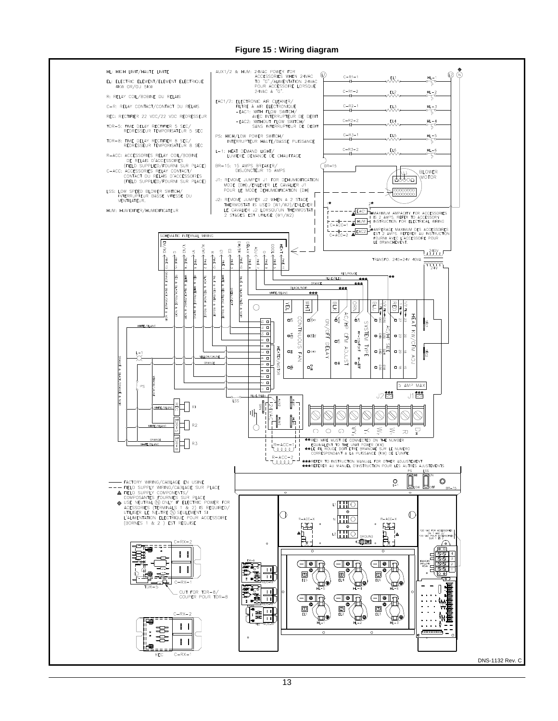AUX1/2 & HUM: 24VAC POWER FOR<br>ACCESSORIES WHEN 24VAC TO "C"/ALIMENTATION 24VAC<br>TO "C"/ALIMENTATION 24VAC<br>POUR ACCESSORE LORSQUE<br>24VAC A "G". HL: HIGH LIMIT/HAUTE LIMITE  $\circledcirc$  $C - R1 - 1$ EL1  $HL-1$ EL: ELECTRIC ELEMENT/ELEMENT ELECTRIQUE<br>4KW OR/OU 5KW  $C-R1-2$ EL2<br>VV ᄟ᠆ R: RELAY COIL/BOBINE DU RELAIS EAC1/2: ELECTRONIC AIR CLEANER/<br>FILTRE A AIR ELECTRONIQUE<br>FILTRE AIR FLOW SWITCH/<br>FAC1: WITH FLOW SWITCH/<br>FAC2: WITHOUT FLOW SWITCH/<br>EAC2: SANS INTERRUPTEUR DE DEBIT C-R: RELAY CONTACT/CONTACT DU RELAIS  $C - R2 - 1$  $rac{HL-3}{2}$  $\lambda$ REC: RECTIFIER 22 VDC/22 VDC REDRESSEUR  $C - R2 - 2$ EL<sub>4</sub> ᄟ-4 TDR-5: TIME DELAY RECTIFIER 5 SEC/<br>REDRESSEUR TEMPORISATEUR 5 SEC  $C - R3 - 1$ PS: HIGH/LOW POWER SWITCH/<br>INTERRUPTEUR HAUTE/BASSE PUISSANCE  $\lambda$ ᄟ-5 TDR-8: TIME DELAY RECTIFIER 8 SEC/<br>REDRESSEUR TEMPORISATEUR 8 SEC  $C - R3 - 2$ L-1: HEAT DEMAND LIGHT/<br>LUMIERE DEMANDE DE CHAUFFAGE EL6<br>VV ጜ R-ACC: ACCESSORIES RELAY COIL/BOBINE<br>
DE RELAIS D'ACCESSORES<br>
(FIELD SUPPLIED/FOURN SUR PLACE)<br>
C-ACC: ACCESSORIES RELAY CONTACT/<br>
CONTACT DU RELAIS D'ACCESSORES<br>
CONTACT DU RELAIS D'ACCESSORES<br>
(FIELD SUPPLIED/FOURN SUR P BR-15: 15 AMPS BREAKER/<br>DISJONCTEUR 15 AMPS ,<br>BR-15 BLOWER<br>\MOTOR  $\begin{picture}(120,10) \put(15,10){\line(1,0){10}} \put(15,10){\line(1,0){10}} \put(15,10){\line(1,0){10}} \put(15,10){\line(1,0){10}} \put(15,10){\line(1,0){10}} \put(15,10){\line(1,0){10}} \put(15,10){\line(1,0){10}} \put(15,10){\line(1,0){10}} \put(15,10){\line(1,0){10}} \put(15,10){\line(1,0){10}} \put(15,10){\line(1,0){10$ J1: REMOVE JUMPER J1 FOR DEHUMIDIFICATION<br>MODE (DH)./ENLEVER LE CAVALIER J1<br>POUR LE MODE DEHUMIDIFICATION (DH) || တာတာတာ<br>| တာတာတာ LSS: LOW SPEED BLOWER SWITCH/<br>INTERRUPTEUR BASSE VITESSE DU<br>VENTILATEUR. REMOVE JUMPER J2 WHEN A 2 STAGE<br>THERMOSTAT IS USED (W1/W2)/ENLEVER<br>LE CAVALIER J2 LORSQU'UN THERMOSTAT<br>2 STAGES EST UTILISÉ (W1/W2) <sub>1</sub>9  $\uparrow$ <br>  $\uparrow$   $\frac{\text{[EAC]}}{\text{[ImaxaxMOM M ARACITY FOR ACCESSORIS]}}$ <br>  $\downarrow$   $+$   $\frac{\text{[EAC]}}{\text{[Imax]}}$  in S.2 AMPS. REFER TO ACCESSORY<br>  $\uparrow$   $+$   $\frac{\text{[Imax]}}{\text{[Imax]}}$  in S.2 AMPS. REFER TO ACCESSORY<br>  $\uparrow$   $\frac{\text{[Imax]}}{\$ HUM: HUMIDIFIER/HUMIDIFICATEUR  $L = -|L| = -\frac{[EAC2]}{EAC2}$ <br>  $L = -|L| = -\frac{[EAC2]}{EAC2}$ <br>  $= -|L| = -\frac{[EAC2]}{EAC2}$ <br>  $= -\frac{[EAC2]}{EAC2}$ <br>  $= -\frac{[EAC2]}{EAC2}$ <br>  $= -\frac{[EAC2]}{EAC2}$ <br>  $= -\frac{[EAC2]}{EAC2}$ <br>  $= -\frac{[EAC2]}{EAC2}$ <br>  $= -\frac{[EAC2]}{EAC2}$ <br>  $= -\frac{[EAC2]}{EAC2}$ <br>  $= -\frac{[EAC2]}{EAC$ SCHEMATIC INTERNAL WIRING DH/BK  $\xi^{\text{BME 1}}$ DELAY < PINE  $\begin{array}{c}\n\text{COOL} \leftarrow \text{PME} \text{ s} \\
\text{O} \leftarrow \text{PME} \text{ s} \\
\text{O} \leftarrow \text{PME} \text{ s} \\
\text{O} \leftarrow \text{PME} \text{ s}\n\end{array}$ E  $W/W \xleftarrow{\mathsf{PRK}}$  $\frac{M}{N^2}$   $\leftarrow$ HEAT  $\frac{1}{\sqrt{2}}$   $\frac{1}{\sqrt{2}}$  $C2 \leftarrow PNE$  $\gamma\gamma\leftarrow\frac{\text{PNE }6}{\text{E}}$  $R \leftarrow PME$  12  $C1 \leftarrow PNE$  $\leq$  $C \leftarrow$ PINE 15 uiiw  $\int_{\frac{1}{2}}^{\infty}$ TRANSFO. 240-24V 40VA ينثثث E RED & BLACK/ROUGE & NOR **AHIE & BLACK/BLANC & NOIR** RED & WHITE/ROUGE & BLANC BLUE & RED/BLEU & ROUGE MHITE & RED/BLANC & ROUGE BLACK & RED/NOR & ROUGE BLUE & BLACK/BLEU & NOR ORANO  $\boldsymbol{\alpha}$  BLACK/ORANCE & NOR BLACK/NOR GREEN/VERT WHITE/BLAN  $\frac{1/2 \text{ th} + 23}{\text{RED}}$ <br>
RED  $\theta$  $\frac{1}{2}$ PE  $\frac{1}{2}$ le<br>Ta 戶  $\bigcirc$ AC/HP HEAT ණ් ó≨ ఠశ  $\mathsf{o}^{\mathbb{c}}$ g  $\frac{1}{2}$ ζı  $\omega$  $\frac{8}{3}$  $\equiv$  0 **NETM** े<br>न  $\geq$ SNOUN 5 D  $\frac{\pi}{2}$  $\frac{C}{\epsilon}$  ao ο§ ogg  $0<sup>o</sup>$ s국 s¦≌ o -collrow  $\overline{a}$ VCFM  $=$   $\frac{5125}{\frac{624}{942}}$ DELA **TYPE**  $\overline{\bullet}$ **ADJUST EATER/MOTOR**  $\frac{1}{5}$  $\overline{ }$  $OE$  $\frac{1}{3}$  $0<sub>o</sub>$  $\sum_{i=1}^{n}$ ΡĎ ā YELLOW/JAUNE , a  $\mathbf{o}^{\dagger}_{\mathbf{q}}$ ORANGE  $o\bar{z}$ <del>ு</del> எ оÁ  $o_T^m$  $\frac{1}{3}$ s  $\circ$   $\vec{z}$ а выск/овинов u 0 N O 5 AMP MAX PS  $\overline{\phantom{0}}$ J2語 J1語 .<br>Alfri  $\frac{8}{2}$  $\frac{1}{\sqrt{2}}$  $\overline{LSS}$  $\frac{1}{2}$ WHITE/BLANC ALL  $\mathbb{Q}$  $\otimes$ R  $\oslash$  $\otimes$  $\otimes$ Z. E<br>E  $\frac{1}{3}$  $R<sub>2</sub>$ Ò Ψż,  $\aleph$  $\sum_{x}$  $\circ$  $\bigcirc$  $\preceq$  $\leq$  $\circ$  $\boldsymbol{\pi}$ **FRED WIRE MUST BE CONNECTED ON THE NUMBER<br>EQUIVALENT TO THE UNIT POWER (KW)<br>LLE FIL ROUGE DOT ETRE BRANCHE SUR LE NUMERO<br>CORRESPONDANT A LA PUISSANCE (KW) DE L'UNITÉ.**  $\begin{array}{|c|c|}\hline\hline\hline\hline\hline\hline\hline\hline\hline\hline\hline\hline\hline\end{array}$ r3  $\left[\begin{smallmatrix} R-ACC-1 \ R-ACC \end{smallmatrix}\right]$  $\ddot{\phantom{a}}$ R-ACC-2<br>JULLUT <del>rit</del>REFER TO INSTRUCTION MANUAL FOR OTHER ADJUSTEMENT<br><del>rit</del>REFERER AU MANUEL D'INSTRUCTION POUR LES AUTRES AJUSTEMENTS ---- FACTORY WIRING/CABLAGE EN USINE<br>--- FIELD SUPPLY WIRING/CABLAGE SUR PLACE<br>A FIELD SUPPLY COMPONENTS/<br>COMPOSANTES FOURNIES SUR PLACE<br>COMPOSANTES FOURNIES SUR PLACE<br>JULISER LE NEUTRE (M) SULLEMENT SI<br>UTILISER LE NEUTRE  $\bullet$  $\overline{O}$ ⊙|¦¦¦⊍  $\frac{\mu}{\mu}$  $\bigcirc$  $\circ$  $R - ACC - Y$  $ACD - x$  $\boxed{\frac{1}{R}}$ 띰  $\overline{\bullet}$  $\frac{1}{2}$ ⊭<mark>⊞⊡</mark>⊙ ¦∆ WE FOR ACCESS<br>ON 1 AND 2/<br>VAC POUR ACCES ⊿ GROUND<br>**⊏©∏⊡**  $C-RX-2$ ি  $=\frac{1}{2}= \overline{\circ}$  $\mathbb{I}$  $\left( \overline{-\|\mathbf{o}\|_1} \right)$  $\Box$  $\Box$ • $\Box$  $\mathbb{I}$ 鳳 匠  $\boxed{0}$ I  $C-RX-$ ਸ਼ 그 CUT FOR TDR-8/<br>COUPER POUR TDR-8  $\overline{\mathbb{F}}$  $\boxed{3}$ <br>EL3 **J: 300**  $C-RX-2$ ᢢᡁ b  $\begin{matrix} \quad \ \ \, \parallel \\ \quad \ \ \, \parallel \end{matrix}$  $\ldots$ . . . . . Y – –<br><del>. . . . . . . .</del> – – 3  $\begin{matrix} \end{matrix}$  $REC$  $C-RX-1$ 

#### **Figure 15 : Wiring diagram**

DNS-1132 Rev. C

13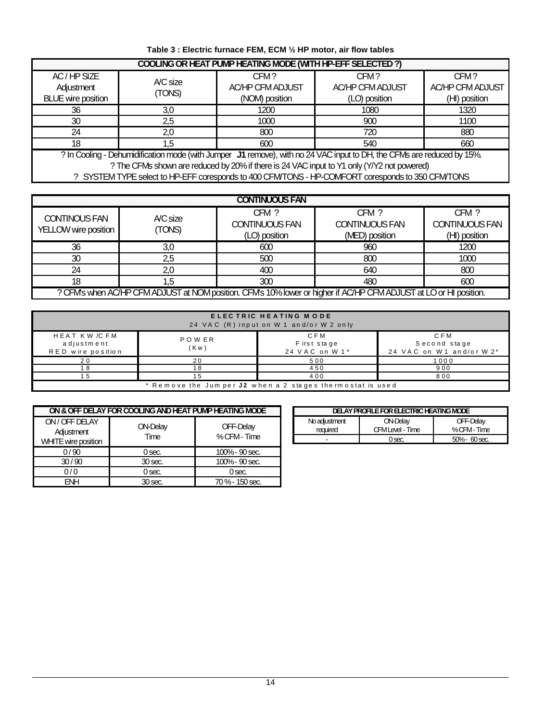| <b>COOLING OR HEAT PUMP HEATING MODE (WITH HP-EFF SELECTED?)</b>                                                             |                    |                         |                         |                         |  |  |  |
|------------------------------------------------------------------------------------------------------------------------------|--------------------|-------------------------|-------------------------|-------------------------|--|--|--|
| AC/HPSIZE                                                                                                                    |                    | CFM?                    | CFM?                    | CFM?                    |  |  |  |
| Adjustment                                                                                                                   | A/C size<br>(TONS) | <b>AC/HP CFM ADJUST</b> | <b>AC/HP CFM ADJUST</b> | <b>AC/HP CFM ADJUST</b> |  |  |  |
| <b>BLUE</b> wire position                                                                                                    |                    | (NOM) position          | (LO) position           | (HI) position           |  |  |  |
| 36                                                                                                                           | 3.0                | 1200                    | 1080                    | 1320                    |  |  |  |
| 30                                                                                                                           | 2.5                | 1000                    | 900                     | 1100                    |  |  |  |
| 24                                                                                                                           |                    | 800                     | 720                     | 880                     |  |  |  |
|                                                                                                                              | .5                 | 600                     | 540                     | 660                     |  |  |  |
| ? In Cooling - Dehumidification mode (with Jumper <b>J1</b> remove), with no 24 VAC input to DH, the CFMs are reduced by 15% |                    |                         |                         |                         |  |  |  |

? In Cooling - Dehumidification mode (with Jumper **J1** remove), with no 24 VAC input to DH, the CFMs are reduced by 15%. ? The CFMs shown are reduced by 20% if there is 24 VAC input to Y1 only (Y/Y2 not powered)

? SYSTEM TYPE select to HP-EFF coresponds to 400 CFM/TONS - HP-COMFORT coresponds to 350 CFM/TONS

| <b>CONTINUOUS FAN</b>                                                                                            |                    |                                                   |                                                    |                                                |  |  |
|------------------------------------------------------------------------------------------------------------------|--------------------|---------------------------------------------------|----------------------------------------------------|------------------------------------------------|--|--|
| <b>CONTINOUS FAN</b><br>YELLOW wire position                                                                     | A/C size<br>(TONS) | $CFM$ ?<br><b>CONTINUOUS FAN</b><br>(LO) position | $CHM$ ?<br><b>CONTINUOUS FAN</b><br>(MED) position | CFM?<br><b>CONTINUOUS FAN</b><br>(HI) position |  |  |
| 36                                                                                                               | 3.0                | 600                                               | 960                                                | 1200                                           |  |  |
| 30                                                                                                               | 25                 | 500                                               | 800                                                | 1000                                           |  |  |
| 24                                                                                                               |                    | 400                                               | 640                                                | 800                                            |  |  |
| 18                                                                                                               | '.5                | 300                                               | 480                                                | 600                                            |  |  |
| ? CFMs when AC/HP CFM ADJUST at NOM position. CFMs 10% lower or higher if AC/HP CFM ADJUST at LO or HI position. |                    |                                                   |                                                    |                                                |  |  |

| ELECTRIC HEATING MODE<br>24 VAC (R) input on W 1 and/or W 2 only                                                                                                  |    |     |      |  |  |  |  |
|-------------------------------------------------------------------------------------------------------------------------------------------------------------------|----|-----|------|--|--|--|--|
| HEAT KW /C FM<br>C F M<br>C F M<br>POW ER<br>First stage<br>Second stage<br>adjustment<br>(Kw)<br>24 VAC on W1 and/or W 2*<br>RED wire position<br>24 VAC on W 1* |    |     |      |  |  |  |  |
| 20                                                                                                                                                                | 20 | 500 | 1000 |  |  |  |  |
| 18                                                                                                                                                                | 8  | 450 | 900  |  |  |  |  |
| 400<br>800<br>15<br>-5                                                                                                                                            |    |     |      |  |  |  |  |
| * Remove the Jum per J2 when a 2 stages thermostat is used                                                                                                        |    |     |      |  |  |  |  |

| ON & OFF DELAY FOR COOLING AND HEAT PUMP HEATING MODE    |                         |                           |  |  |
|----------------------------------------------------------|-------------------------|---------------------------|--|--|
| ON/OFF DELAY<br>Adjustment<br><b>WHITE wire position</b> | <b>ON-Delay</b><br>Time | OFF-Delay<br>% CFM - Time |  |  |
| 0/90                                                     | $0$ sec.                | 100% - 90 sec.            |  |  |
| 30/90                                                    | 30 sec.                 | 100% - 90 sec.            |  |  |
| 0/0                                                      | $0$ sec.                | $0$ sec.                  |  |  |
| FNH                                                      | 30 sec.                 | 70% - 150 sec.            |  |  |

| DELAY PROFILE FOR ELECTRIC HEATING MODE |                  |                 |  |  |
|-----------------------------------------|------------------|-----------------|--|--|
| No adjustment                           | <b>ON-Delay</b>  | OFF-Delay       |  |  |
| reauired                                | CFM Level - Time | %CFM-Time       |  |  |
| -                                       | $'$ Sec.         | $50% - 60$ sec. |  |  |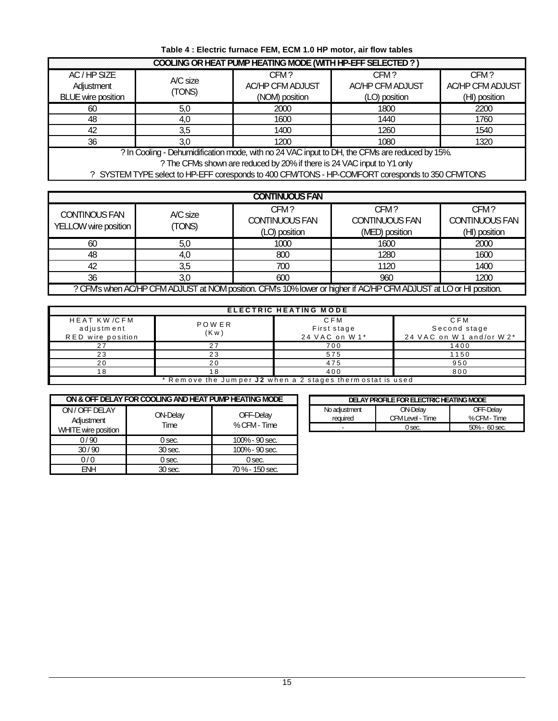| Table 4 : Electric furnace FEM, ECM 1.0 HP motor, air flow tables                              |                                                                                                   |                         |                         |                         |
|------------------------------------------------------------------------------------------------|---------------------------------------------------------------------------------------------------|-------------------------|-------------------------|-------------------------|
|                                                                                                | <b>COOLING OR HEAT PUMP HEATING MODE (WITH HP-EFF SELECTED?)</b>                                  |                         |                         |                         |
| AC/HPSIZE                                                                                      | A/C size                                                                                          | CFM?                    | CFM?                    | CFM?                    |
| Adjustment                                                                                     |                                                                                                   | <b>AC/HP CFM ADJUST</b> | <b>AC/HP CFM ADJUST</b> | <b>AC/HP CFM ADJUST</b> |
| <b>BLUE</b> wire position                                                                      | (TONS)                                                                                            | (NOM) position          | (LO) position           | (HI) position           |
| 60                                                                                             | 2000<br>1800<br>2200<br>5,0                                                                       |                         |                         |                         |
| 48                                                                                             | 4.0                                                                                               | 1600                    | 1440                    | 1760                    |
| 42                                                                                             | 3.5<br>1400<br>1260<br>1540                                                                       |                         |                         |                         |
| 36<br>1200<br>1080<br>1320<br>3.0                                                              |                                                                                                   |                         |                         |                         |
| ? In Cooling - Dehumidification mode, with no 24 VAC input to DH, the CFMs are reduced by 15%. |                                                                                                   |                         |                         |                         |
| ? The CFMs shown are reduced by 20% if there is 24 VAC input to Y1 only                        |                                                                                                   |                         |                         |                         |
|                                                                                                | ? SYSTEM TYPE select to HP-EFF coresponds to 400 CFM/TONS - HP-COMFORT coresponds to 350 CFM/TONS |                         |                         |                         |

| <b>CONTINUOUS FAN</b>                                                                                            |          |                        |                               |                               |
|------------------------------------------------------------------------------------------------------------------|----------|------------------------|-------------------------------|-------------------------------|
| <b>CONTINOUS FAN</b>                                                                                             | A/C size | CFM?<br>CONTINUOUS FAN | CFM?<br><b>CONTINUOUS FAN</b> | CFM?<br><b>CONTINUOUS FAN</b> |
| YELLOW wire position                                                                                             | (TONS)   | (LO) position          | (MED) position                | (HI) position                 |
| 60                                                                                                               | 5,0      | 1000                   | 1600                          | 2000                          |
| 800<br>1280<br>48<br>4.0                                                                                         |          | 1600                   |                               |                               |
| 700<br>1120<br>42<br>3.5                                                                                         |          | 1400                   |                               |                               |
| 36                                                                                                               | 3.0      | 600                    | 960                           | 1200                          |
| ? CFMs when AC/HP CFM ADJUST at NOM position. CFMs 10% lower or higher if AC/HP CFM ADJUST at LO or HI position. |          |                        |                               |                               |

| <b>ELECTRIC HEATING MODE</b>                              |               |                                        |                                                    |  |
|-----------------------------------------------------------|---------------|----------------------------------------|----------------------------------------------------|--|
| HEAT KW/CFM<br>adjustment<br>RED wire position            | POWER<br>(Kw) | C F M<br>First stage<br>24 VAC on W 1* | C F M<br>Second stage<br>24 VAC on W 1 and/or W 2* |  |
|                                                           |               | 700                                    | 1400                                               |  |
| 23                                                        |               | 575                                    | 1150                                               |  |
| 20                                                        | 20            | 475                                    | 950                                                |  |
| -8                                                        |               | 400                                    | 800                                                |  |
| * Remove the Jumper J2 when a 2 stages thermostat is used |               |                                        |                                                    |  |

| ON & OFF DELAY FOR COOLING AND HEAT PUMP HEATING MODE      |                         |                           |  |  |
|------------------------------------------------------------|-------------------------|---------------------------|--|--|
| ON / OFF DELAY<br>Adjustment<br><b>WHITE wire position</b> | <b>ON-Delay</b><br>Time | OFF-Delay<br>% CFM - Time |  |  |
| 0/90                                                       | $0$ sec.                | 100% - 90 sec.            |  |  |
| 30/90                                                      | 30 sec.                 | 100% - 90 sec.            |  |  |
| 0/0                                                        | $0$ sec.                | 0 sec.                    |  |  |
| <b>FNH</b>                                                 | 30 sec.                 | 70 % - 150 sec.           |  |  |

| DELAY PROFILE FOR ELECTRIC HEATING MODE |                              |                  |  |
|-----------------------------------------|------------------------------|------------------|--|
| No adjustment                           | <b>ON-Delay</b><br>OFF-Delay |                  |  |
| reauired                                | CFM Level - Time             | % CFM - Time     |  |
|                                         | ) sec.                       | $50\% - 60$ sec. |  |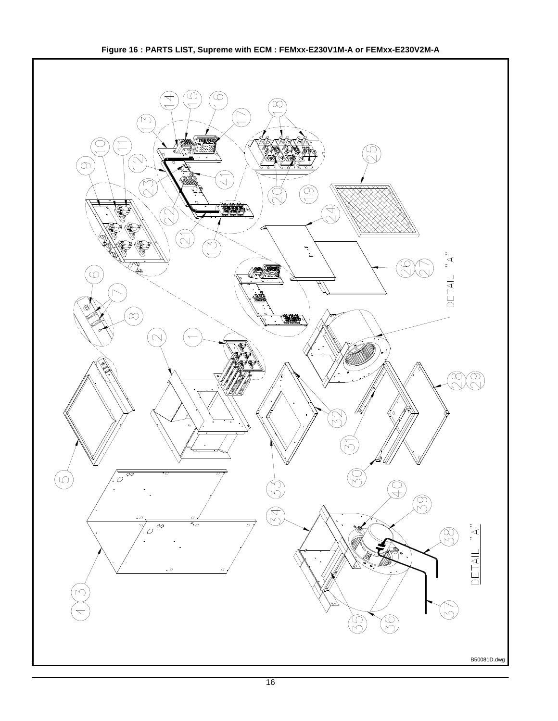